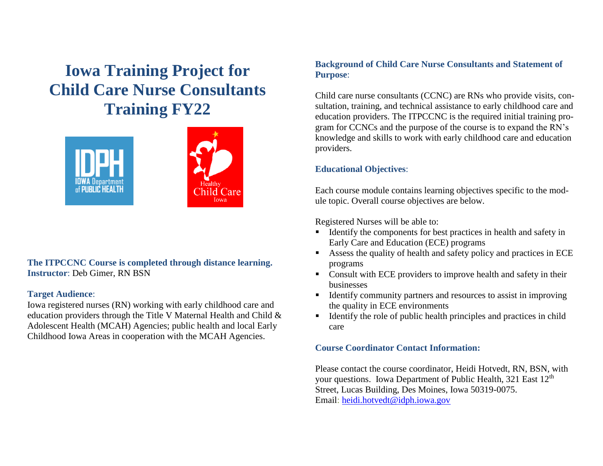# **Iowa Training Project for Child Care Nurse Consultants Training FY22**



# **The ITPCCNC Course is completed through distance learning. Instructor**: Deb Gimer, RN BSN

#### **Target Audience**:

Iowa registered nurses (RN) working with early childhood care and education providers through the Title V Maternal Health and Child & Adolescent Health (MCAH) Agencies; public health and local Early Childhood Iowa Areas in cooperation with the MCAH Agencies.

# **Background of Child Care Nurse Consultants and Statement of Purpose**:

Child care nurse consultants (CCNC) are RNs who provide visits, consultation, training, and technical assistance to early childhood care and education providers. The ITPCCNC is the required initial training program for CCNCs and the purpose of the course is to expand the RN's knowledge and skills to work with early childhood care and education providers.

# **Educational Objectives**:

Each course module contains learning objectives specific to the module topic. Overall course objectives are below.

Registered Nurses will be able to:

- Identify the components for best practices in health and safety in Early Care and Education (ECE) programs
- Assess the quality of health and safety policy and practices in ECE programs
- Consult with ECE providers to improve health and safety in their businesses
- Identify community partners and resources to assist in improving the quality in ECE environments
- $\blacksquare$  Identify the role of public health principles and practices in child care

## **Course Coordinator Contact Information:**

Please contact the course coordinator, Heidi Hotvedt, RN, BSN, with your questions. Iowa Department of Public Health, 321 East 12<sup>th</sup> Street, Lucas Building, Des Moines, Iowa 50319-0075. Email: [heidi.hotvedt@idph.iowa.gov](mailto:heidi.hotvedt@idph.iowa.gov)